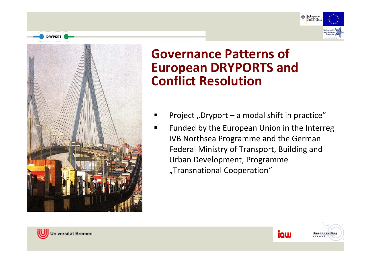



- Project "Dryport – a modal shift in practice"
- ٠ ■ Funded by the European Union in the Interreg IVB Northsea Programme and the German Federal Ministry of Transport, Building and Urban Development, Programme "Transnational Cooperation"





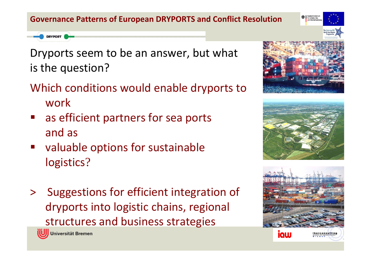- Dryports seem to be an answer, but what is the question?
- Which conditions would enable dryports to work
- as efficient partners for sea ports and as
- **ularable options for sustainable** logistics?
- > Suggestions for efficient integration of dryports into logistic chains, regional structures and business strategies



**DRYPORT** 



für Verkehr, Bau







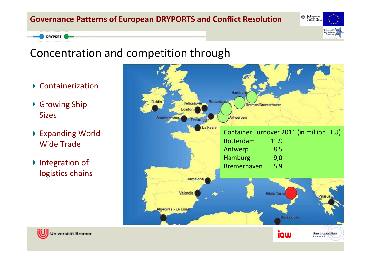

### Concentration and competition through

- Containerization
- ▶ Growing Ship Sizes

- ▶ Expanding World Wide Trade
- ▶ Integration of logistics chains



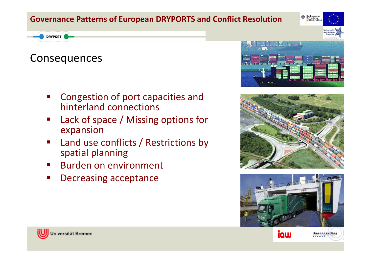#### Rundoeminietori **Bundesministeriu**

#### **DRYPORT**

### Consequences

- T. Congestion of port capacities and hinterland connections
- T. Lack of space / Missing options for expansion
- T. **EXEC** Land use conflicts / Restrictions by spatial planning
- $\mathcal{L}_{\text{max}}$ **Burden on environment**
- b. Decreasing acceptance









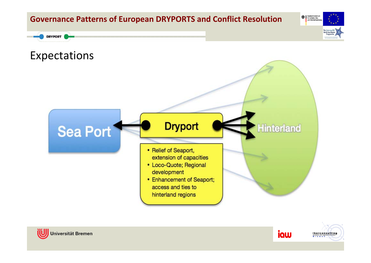









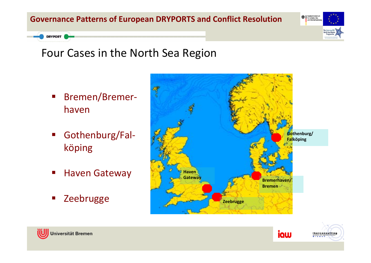

### Four Cases in the North Sea Region

- $\mathcal{L}^{\mathcal{A}}$  Bremen/Bremer‐ haven
- $\mathcal{L}_{\text{max}}$  Gothenburg/Fal‐ köping
- $\mathcal{L}_{\mathcal{A}}$ **E** Haven Gateway
- $\mathcal{L}_{\mathcal{A}}$ Zeebrugge







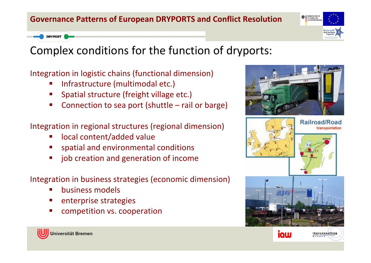Bundesministeriu<br>für Verkehr, Bau

### Complex conditions for the function of dryports:

Integration in logistic chains (functional dimension)

- Infrastructure (multimodal etc.)
- Spatial structure (freight village etc.)
- Connection to sea port (shuttle rail or barge)
- Integration in regional structures (regional dimension)
	- local content/added value
	- spatial and environmental conditions
	- job creation and generation of income
- Integration in business strategies (economic dimension)
	- business models
	- enterprise strategies
	- competition vs. cooperation



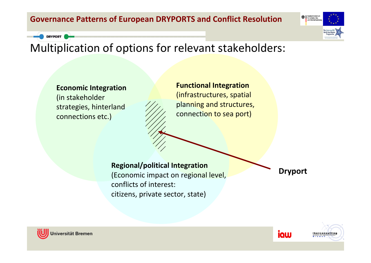

## Multiplication of options for relevant stakeholders:

**Economic Integration** (in stakeholder strategies, hinterland connections etc.)

**Functional Integration** (infrastructures, spatial planning and structures, connection to sea port)

#### **Regional/political Integration**

(Economic impact on regional level, conflicts of interest: citizens, private sector, state)

**Dryport**





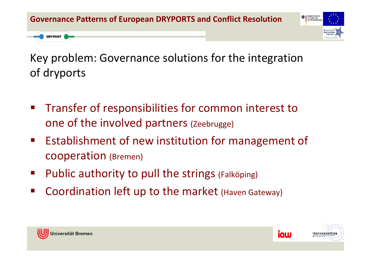

Key problem: Governance solutions for the integration of dryports

- Transfer of responsibilities for common interest to one of the involved partners (Zeebrugge)
- **Establishment of new institution for management of** cooperation (Bremen)
- Public authority to pull the strings (Falköping)
- ■ Coordination left up to the market (Haven Gateway)



**DRYPORT** 



iaw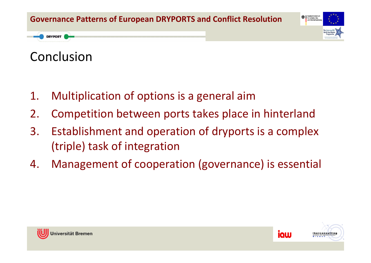

## Conclusion

**DRYPORT** 

- 1.Multiplication of options is <sup>a</sup> general aim
- 2.Competition between ports takes place in hinterland
- 3. Establishment and operation of dryports is <sup>a</sup> complex (triple) task of integration
- 4.Management of cooperation (governance) is essential





iaw